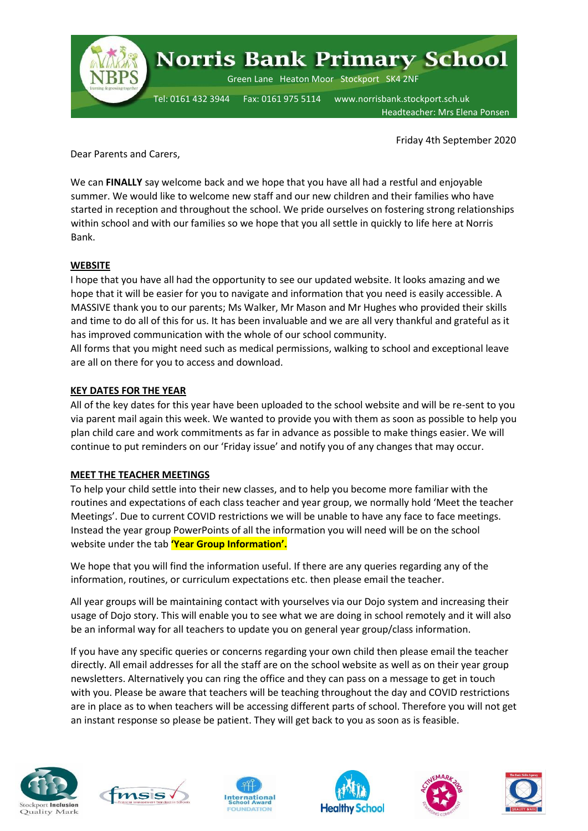

Friday 4th September 2020

Dear Parents and Carers,

We can **FINALLY** say welcome back and we hope that you have all had a restful and enjoyable summer. We would like to welcome new staff and our new children and their families who have started in reception and throughout the school. We pride ourselves on fostering strong relationships within school and with our families so we hope that you all settle in quickly to life here at Norris Bank.

#### **WEBSITE**

I hope that you have all had the opportunity to see our updated website. It looks amazing and we hope that it will be easier for you to navigate and information that you need is easily accessible. A MASSIVE thank you to our parents; Ms Walker, Mr Mason and Mr Hughes who provided their skills and time to do all of this for us. It has been invaluable and we are all very thankful and grateful as it has improved communication with the whole of our school community.

All forms that you might need such as medical permissions, walking to school and exceptional leave are all on there for you to access and download.

#### **KEY DATES FOR THE YEAR**

All of the key dates for this year have been uploaded to the school website and will be re-sent to you via parent mail again this week. We wanted to provide you with them as soon as possible to help you plan child care and work commitments as far in advance as possible to make things easier. We will continue to put reminders on our 'Friday issue' and notify you of any changes that may occur.

#### **MEET THE TEACHER MEETINGS**

To help your child settle into their new classes, and to help you become more familiar with the routines and expectations of each class teacher and year group, we normally hold 'Meet the teacher Meetings'. Due to current COVID restrictions we will be unable to have any face to face meetings. Instead the year group PowerPoints of all the information you will need will be on the school website under the tab **'Year Group Information'.**

We hope that you will find the information useful. If there are any queries regarding any of the information, routines, or curriculum expectations etc. then please email the teacher.

All year groups will be maintaining contact with yourselves via our Dojo system and increasing their usage of Dojo story. This will enable you to see what we are doing in school remotely and it will also be an informal way for all teachers to update you on general year group/class information.

If you have any specific queries or concerns regarding your own child then please email the teacher directly. All email addresses for all the staff are on the school website as well as on their year group newsletters. Alternatively you can ring the office and they can pass on a message to get in touch with you. Please be aware that teachers will be teaching throughout the day and COVID restrictions are in place as to when teachers will be accessing different parts of school. Therefore you will not get an instant response so please be patient. They will get back to you as soon as is feasible.











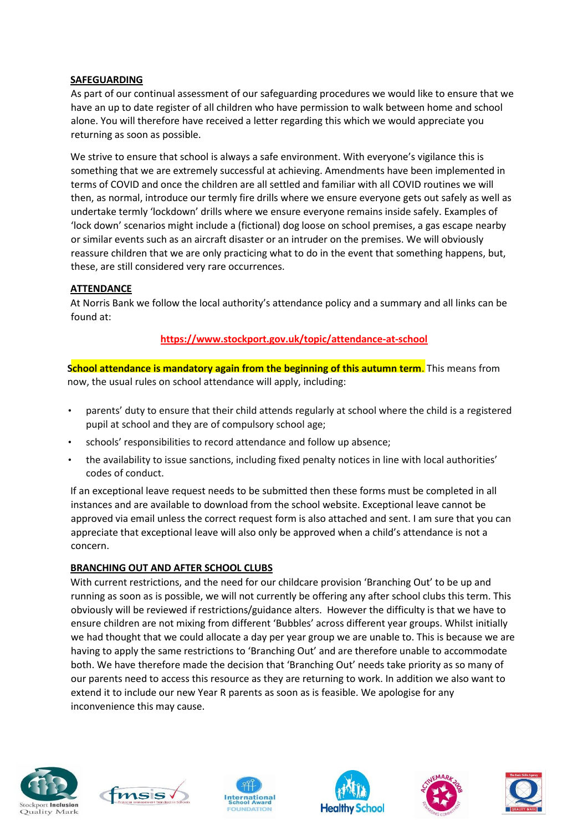# **SAFEGUARDING**

As part of our continual assessment of our safeguarding procedures we would like to ensure that we have an up to date register of all children who have permission to walk between home and school alone. You will therefore have received a letter regarding this which we would appreciate you returning as soon as possible.

We strive to ensure that school is always a safe environment. With everyone's vigilance this is something that we are extremely successful at achieving. Amendments have been implemented in terms of COVID and once the children are all settled and familiar with all COVID routines we will then, as normal, introduce our termly fire drills where we ensure everyone gets out safely as well as undertake termly 'lockdown' drills where we ensure everyone remains inside safely. Examples of 'lock down' scenarios might include a (fictional) dog loose on school premises, a gas escape nearby or similar events such as an aircraft disaster or an intruder on the premises. We will obviously reassure children that we are only practicing what to do in the event that something happens, but, these, are still considered very rare occurrences.

# **ATTENDANCE**

At Norris Bank we follow the local authority's attendance policy and a summary and all links can be found at:

# **<https://www.stockport.gov.uk/topic/attendance-at-school>**

**School attendance is mandatory again from the beginning of this autumn term**. This means from now, the usual rules on school attendance will apply, including:

- parents' duty to ensure that their child attends regularly at school where the child is a registered pupil at school and they are of compulsory school age;
- schools' responsibilities to record attendance and follow up absence;
- the availability to issue sanctions, including fixed penalty notices in line with local authorities' codes of conduct.

If an exceptional leave request needs to be submitted then these forms must be completed in all instances and are available to download from the school website. Exceptional leave cannot be approved via email unless the correct request form is also attached and sent. I am sure that you can appreciate that exceptional leave will also only be approved when a child's attendance is not a concern.

# **BRANCHING OUT AND AFTER SCHOOL CLUBS**

With current restrictions, and the need for our childcare provision 'Branching Out' to be up and running as soon as is possible, we will not currently be offering any after school clubs this term. This obviously will be reviewed if restrictions/guidance alters. However the difficulty is that we have to ensure children are not mixing from different 'Bubbles' across different year groups. Whilst initially we had thought that we could allocate a day per year group we are unable to. This is because we are having to apply the same restrictions to 'Branching Out' and are therefore unable to accommodate both. We have therefore made the decision that 'Branching Out' needs take priority as so many of our parents need to access this resource as they are returning to work. In addition we also want to extend it to include our new Year R parents as soon as is feasible. We apologise for any inconvenience this may cause.











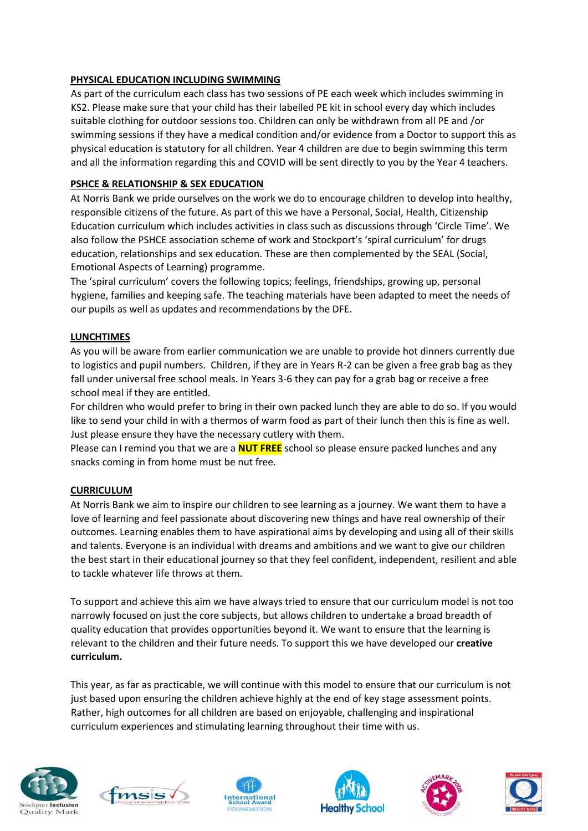# **PHYSICAL EDUCATION INCLUDING SWIMMING**

As part of the curriculum each class has two sessions of PE each week which includes swimming in KS2. Please make sure that your child has their labelled PE kit in school every day which includes suitable clothing for outdoor sessions too. Children can only be withdrawn from all PE and /or swimming sessions if they have a medical condition and/or evidence from a Doctor to support this as physical education is statutory for all children. Year 4 children are due to begin swimming this term and all the information regarding this and COVID will be sent directly to you by the Year 4 teachers.

# **PSHCE & RELATIONSHIP & SEX EDUCATION**

At Norris Bank we pride ourselves on the work we do to encourage children to develop into healthy, responsible citizens of the future. As part of this we have a Personal, Social, Health, Citizenship Education curriculum which includes activities in class such as discussions through 'Circle Time'. We also follow the PSHCE association scheme of work and Stockport's 'spiral curriculum' for drugs education, relationships and sex education. These are then complemented by the SEAL (Social, Emotional Aspects of Learning) programme.

The 'spiral curriculum' covers the following topics; feelings, friendships, growing up, personal hygiene, families and keeping safe. The teaching materials have been adapted to meet the needs of our pupils as well as updates and recommendations by the DFE.

# **LUNCHTIMES**

As you will be aware from earlier communication we are unable to provide hot dinners currently due to logistics and pupil numbers. Children, if they are in Years R-2 can be given a free grab bag as they fall under universal free school meals. In Years 3-6 they can pay for a grab bag or receive a free school meal if they are entitled.

For children who would prefer to bring in their own packed lunch they are able to do so. If you would like to send your child in with a thermos of warm food as part of their lunch then this is fine as well. Just please ensure they have the necessary cutlery with them.

Please can I remind you that we are a **NUT FREE** school so please ensure packed lunches and any snacks coming in from home must be nut free.

# **CURRICULUM**

At Norris Bank we aim to inspire our children to see learning as a journey. We want them to have a love of learning and feel passionate about discovering new things and have real ownership of their outcomes. Learning enables them to have aspirational aims by developing and using all of their skills and talents. Everyone is an individual with dreams and ambitions and we want to give our children the best start in their educational journey so that they feel confident, independent, resilient and able to tackle whatever life throws at them.

To support and achieve this aim we have always tried to ensure that our curriculum model is not too narrowly focused on just the core subjects, but allows children to undertake a broad breadth of quality education that provides opportunities beyond it. We want to ensure that the learning is relevant to the children and their future needs. To support this we have developed our **creative curriculum.**

This year, as far as practicable, we will continue with this model to ensure that our curriculum is not just based upon ensuring the children achieve highly at the end of key stage assessment points. Rather, high outcomes for all children are based on enjoyable, challenging and inspirational curriculum experiences and stimulating learning throughout their time with us.











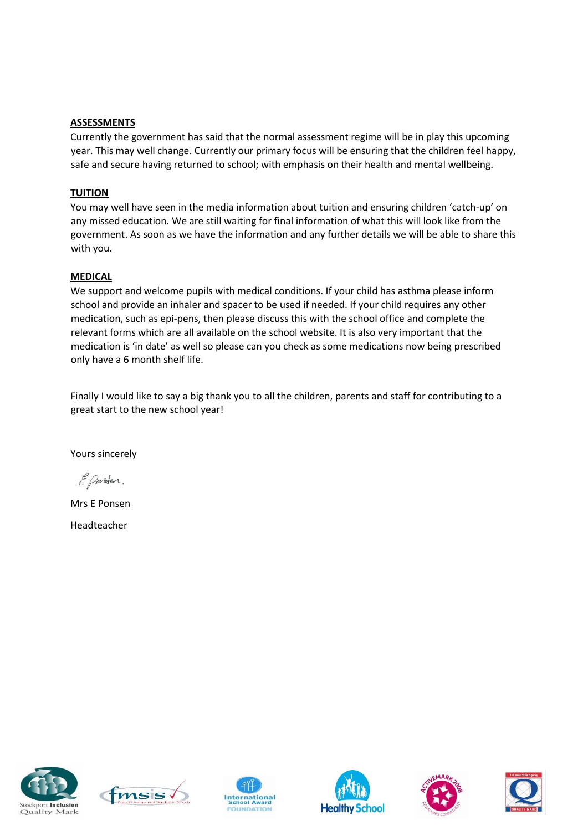#### **ASSESSMENTS**

Currently the government has said that the normal assessment regime will be in play this upcoming year. This may well change. Currently our primary focus will be ensuring that the children feel happy, safe and secure having returned to school; with emphasis on their health and mental wellbeing.

# **TUITION**

You may well have seen in the media information about tuition and ensuring children 'catch-up' on any missed education. We are still waiting for final information of what this will look like from the government. As soon as we have the information and any further details we will be able to share this with you.

# **MEDICAL**

We support and welcome pupils with medical conditions. If your child has asthma please inform school and provide an inhaler and spacer to be used if needed. If your child requires any other medication, such as epi-pens, then please discuss this with the school office and complete the relevant forms which are all available on the school website. It is also very important that the medication is 'in date' as well so please can you check as some medications now being prescribed only have a 6 month shelf life.

Finally I would like to say a big thank you to all the children, parents and staff for contributing to a great start to the new school year!

Yours sincerely

E Parten.

Mrs E Ponsen

Headteacher